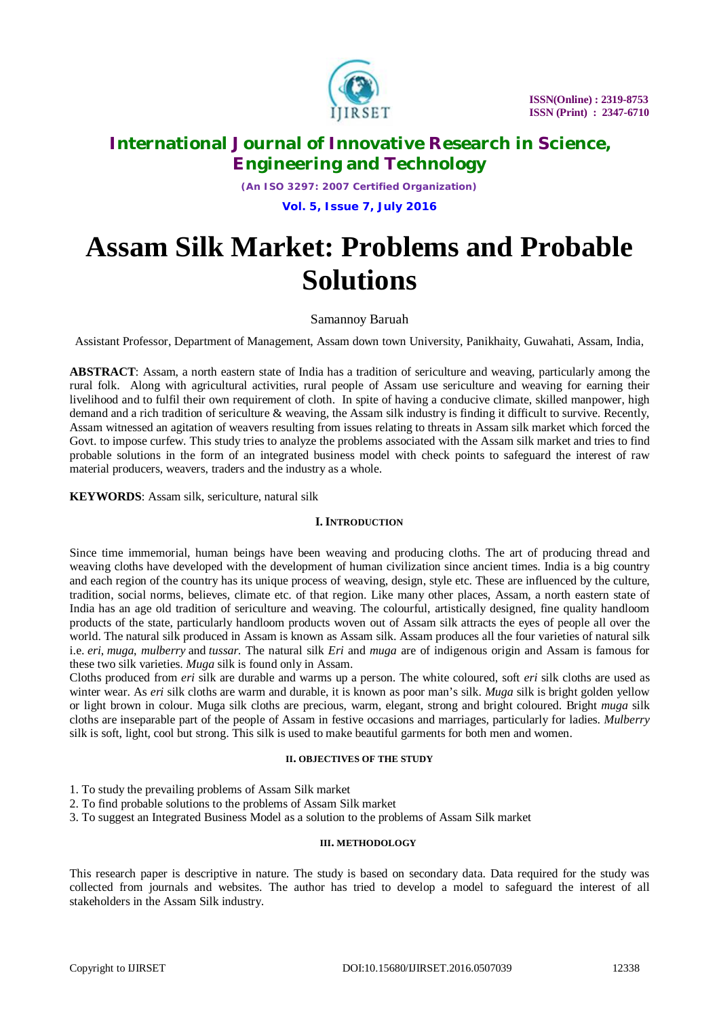

*(An ISO 3297: 2007 Certified Organization)*

**Vol. 5, Issue 7, July 2016**

# **Assam Silk Market: Problems and Probable Solutions**

## Samannoy Baruah

Assistant Professor, Department of Management, Assam down town University, Panikhaity, Guwahati, Assam, India,

**ABSTRACT**: Assam, a north eastern state of India has a tradition of sericulture and weaving, particularly among the rural folk. Along with agricultural activities, rural people of Assam use sericulture and weaving for earning their livelihood and to fulfil their own requirement of cloth. In spite of having a conducive climate, skilled manpower, high demand and a rich tradition of sericulture  $\&$  weaving, the Assam silk industry is finding it difficult to survive. Recently, Assam witnessed an agitation of weavers resulting from issues relating to threats in Assam silk market which forced the Govt. to impose curfew. This study tries to analyze the problems associated with the Assam silk market and tries to find probable solutions in the form of an integrated business model with check points to safeguard the interest of raw material producers, weavers, traders and the industry as a whole.

## **KEYWORDS**: Assam silk, sericulture, natural silk

## **I. INTRODUCTION**

Since time immemorial, human beings have been weaving and producing cloths. The art of producing thread and weaving cloths have developed with the development of human civilization since ancient times. India is a big country and each region of the country has its unique process of weaving, design, style etc. These are influenced by the culture, tradition, social norms, believes, climate etc. of that region. Like many other places, Assam, a north eastern state of India has an age old tradition of sericulture and weaving. The colourful, artistically designed, fine quality handloom products of the state, particularly handloom products woven out of Assam silk attracts the eyes of people all over the world. The natural silk produced in Assam is known as Assam silk. Assam produces all the four varieties of natural silk i.e. *eri*, *muga*, *mulberry* and *tussar.* The natural silk *Eri* and *muga* are of indigenous origin and Assam is famous for these two silk varieties. *Muga* silk is found only in Assam.

Cloths produced from *eri* silk are durable and warms up a person. The white coloured, soft *eri* silk cloths are used as winter wear. As *eri* silk cloths are warm and durable, it is known as poor man's silk. *Muga* silk is bright golden yellow or light brown in colour. Muga silk cloths are precious, warm, elegant, strong and bright coloured. Bright *muga* silk cloths are inseparable part of the people of Assam in festive occasions and marriages, particularly for ladies. *Mulberry* silk is soft, light, cool but strong. This silk is used to make beautiful garments for both men and women.

#### **II. OBJECTIVES OF THE STUDY**

1. To study the prevailing problems of Assam Silk market

- 2. To find probable solutions to the problems of Assam Silk market
- 3. To suggest an Integrated Business Model as a solution to the problems of Assam Silk market

### **III. METHODOLOGY**

This research paper is descriptive in nature. The study is based on secondary data. Data required for the study was collected from journals and websites. The author has tried to develop a model to safeguard the interest of all stakeholders in the Assam Silk industry.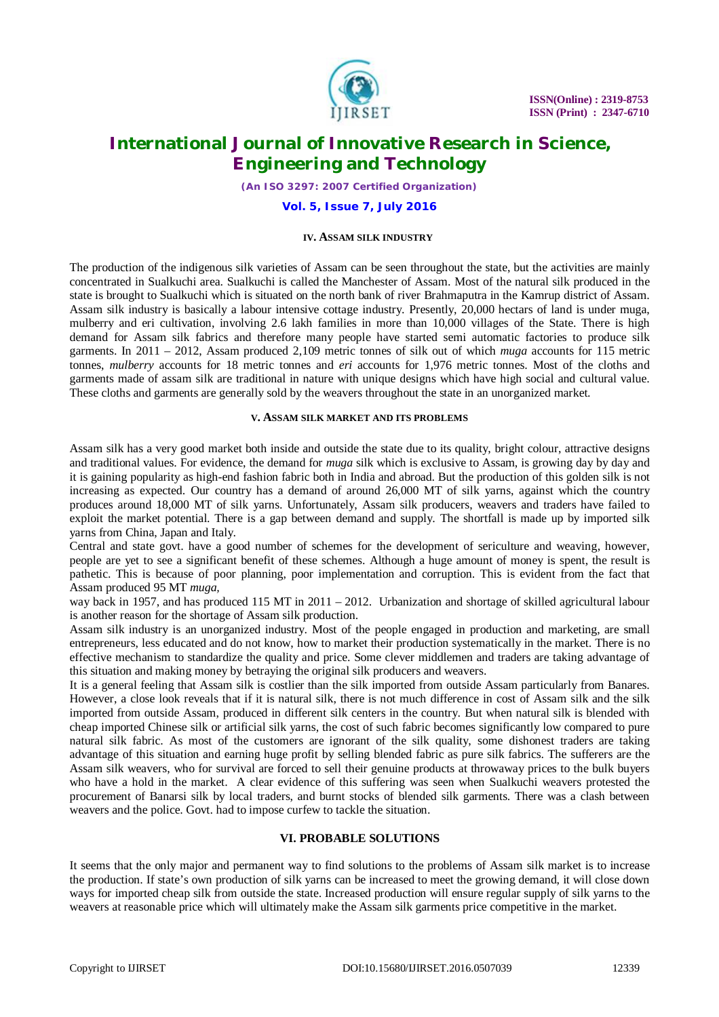

*(An ISO 3297: 2007 Certified Organization)*

#### **Vol. 5, Issue 7, July 2016**

#### **IV. ASSAM SILK INDUSTRY**

The production of the indigenous silk varieties of Assam can be seen throughout the state, but the activities are mainly concentrated in Sualkuchi area. Sualkuchi is called the Manchester of Assam. Most of the natural silk produced in the state is brought to Sualkuchi which is situated on the north bank of river Brahmaputra in the Kamrup district of Assam. Assam silk industry is basically a labour intensive cottage industry. Presently, 20,000 hectars of land is under muga, mulberry and eri cultivation, involving 2.6 lakh families in more than 10,000 villages of the State. There is high demand for Assam silk fabrics and therefore many people have started semi automatic factories to produce silk garments. In 2011 – 2012, Assam produced 2,109 metric tonnes of silk out of which *muga* accounts for 115 metric tonnes, *mulberry* accounts for 18 metric tonnes and *eri* accounts for 1,976 metric tonnes. Most of the cloths and garments made of assam silk are traditional in nature with unique designs which have high social and cultural value. These cloths and garments are generally sold by the weavers throughout the state in an unorganized market.

#### **V. ASSAM SILK MARKET AND ITS PROBLEMS**

Assam silk has a very good market both inside and outside the state due to its quality, bright colour, attractive designs and traditional values. For evidence, the demand for *muga* silk which is exclusive to Assam, is growing day by day and it is gaining popularity as high-end fashion fabric both in India and abroad. But the production of this golden silk is not increasing as expected. Our country has a demand of around 26,000 MT of silk yarns, against which the country produces around 18,000 MT of silk yarns. Unfortunately, Assam silk producers, weavers and traders have failed to exploit the market potential. There is a gap between demand and supply. The shortfall is made up by imported silk yarns from China, Japan and Italy.

Central and state govt. have a good number of schemes for the development of sericulture and weaving, however, people are yet to see a significant benefit of these schemes. Although a huge amount of money is spent, the result is pathetic. This is because of poor planning, poor implementation and corruption. This is evident from the fact that Assam produced 95 MT *muga,*

way back in 1957, and has produced 115 MT in 2011 – 2012. Urbanization and shortage of skilled agricultural labour is another reason for the shortage of Assam silk production.

Assam silk industry is an unorganized industry. Most of the people engaged in production and marketing, are small entrepreneurs, less educated and do not know, how to market their production systematically in the market. There is no effective mechanism to standardize the quality and price. Some clever middlemen and traders are taking advantage of this situation and making money by betraying the original silk producers and weavers.

It is a general feeling that Assam silk is costlier than the silk imported from outside Assam particularly from Banares. However, a close look reveals that if it is natural silk, there is not much difference in cost of Assam silk and the silk imported from outside Assam, produced in different silk centers in the country. But when natural silk is blended with cheap imported Chinese silk or artificial silk yarns, the cost of such fabric becomes significantly low compared to pure natural silk fabric. As most of the customers are ignorant of the silk quality, some dishonest traders are taking advantage of this situation and earning huge profit by selling blended fabric as pure silk fabrics. The sufferers are the Assam silk weavers, who for survival are forced to sell their genuine products at throwaway prices to the bulk buyers who have a hold in the market. A clear evidence of this suffering was seen when Sualkuchi weavers protested the procurement of Banarsi silk by local traders, and burnt stocks of blended silk garments. There was a clash between weavers and the police. Govt. had to impose curfew to tackle the situation.

## **VI. PROBABLE SOLUTIONS**

It seems that the only major and permanent way to find solutions to the problems of Assam silk market is to increase the production. If state's own production of silk yarns can be increased to meet the growing demand, it will close down ways for imported cheap silk from outside the state. Increased production will ensure regular supply of silk yarns to the weavers at reasonable price which will ultimately make the Assam silk garments price competitive in the market.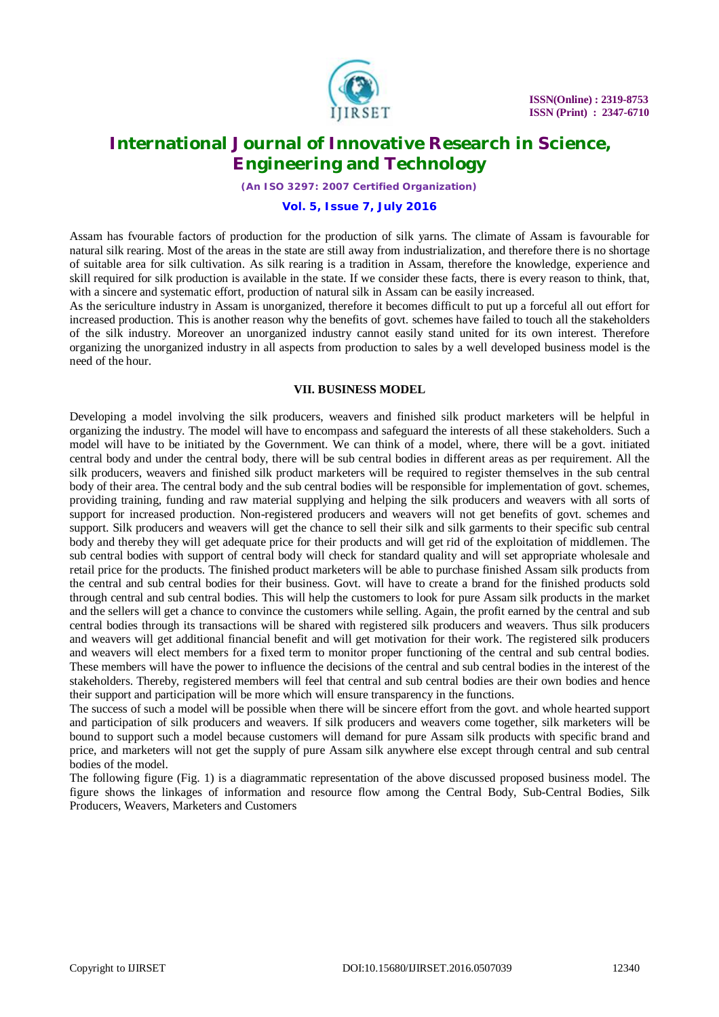

*(An ISO 3297: 2007 Certified Organization)*

#### **Vol. 5, Issue 7, July 2016**

Assam has fvourable factors of production for the production of silk yarns. The climate of Assam is favourable for natural silk rearing. Most of the areas in the state are still away from industrialization, and therefore there is no shortage of suitable area for silk cultivation. As silk rearing is a tradition in Assam, therefore the knowledge, experience and skill required for silk production is available in the state. If we consider these facts, there is every reason to think, that, with a sincere and systematic effort, production of natural silk in Assam can be easily increased.

As the sericulture industry in Assam is unorganized, therefore it becomes difficult to put up a forceful all out effort for increased production. This is another reason why the benefits of govt. schemes have failed to touch all the stakeholders of the silk industry. Moreover an unorganized industry cannot easily stand united for its own interest. Therefore organizing the unorganized industry in all aspects from production to sales by a well developed business model is the need of the hour.

#### **VII. BUSINESS MODEL**

Developing a model involving the silk producers, weavers and finished silk product marketers will be helpful in organizing the industry. The model will have to encompass and safeguard the interests of all these stakeholders. Such a model will have to be initiated by the Government. We can think of a model, where, there will be a govt. initiated central body and under the central body, there will be sub central bodies in different areas as per requirement. All the silk producers, weavers and finished silk product marketers will be required to register themselves in the sub central body of their area. The central body and the sub central bodies will be responsible for implementation of govt. schemes, providing training, funding and raw material supplying and helping the silk producers and weavers with all sorts of support for increased production. Non-registered producers and weavers will not get benefits of govt. schemes and support. Silk producers and weavers will get the chance to sell their silk and silk garments to their specific sub central body and thereby they will get adequate price for their products and will get rid of the exploitation of middlemen. The sub central bodies with support of central body will check for standard quality and will set appropriate wholesale and retail price for the products. The finished product marketers will be able to purchase finished Assam silk products from the central and sub central bodies for their business. Govt. will have to create a brand for the finished products sold through central and sub central bodies. This will help the customers to look for pure Assam silk products in the market and the sellers will get a chance to convince the customers while selling. Again, the profit earned by the central and sub central bodies through its transactions will be shared with registered silk producers and weavers. Thus silk producers and weavers will get additional financial benefit and will get motivation for their work. The registered silk producers and weavers will elect members for a fixed term to monitor proper functioning of the central and sub central bodies. These members will have the power to influence the decisions of the central and sub central bodies in the interest of the stakeholders. Thereby, registered members will feel that central and sub central bodies are their own bodies and hence their support and participation will be more which will ensure transparency in the functions.

The success of such a model will be possible when there will be sincere effort from the govt. and whole hearted support and participation of silk producers and weavers. If silk producers and weavers come together, silk marketers will be bound to support such a model because customers will demand for pure Assam silk products with specific brand and price, and marketers will not get the supply of pure Assam silk anywhere else except through central and sub central bodies of the model.

The following figure (Fig. 1) is a diagrammatic representation of the above discussed proposed business model. The figure shows the linkages of information and resource flow among the Central Body, Sub-Central Bodies, Silk Producers, Weavers, Marketers and Customers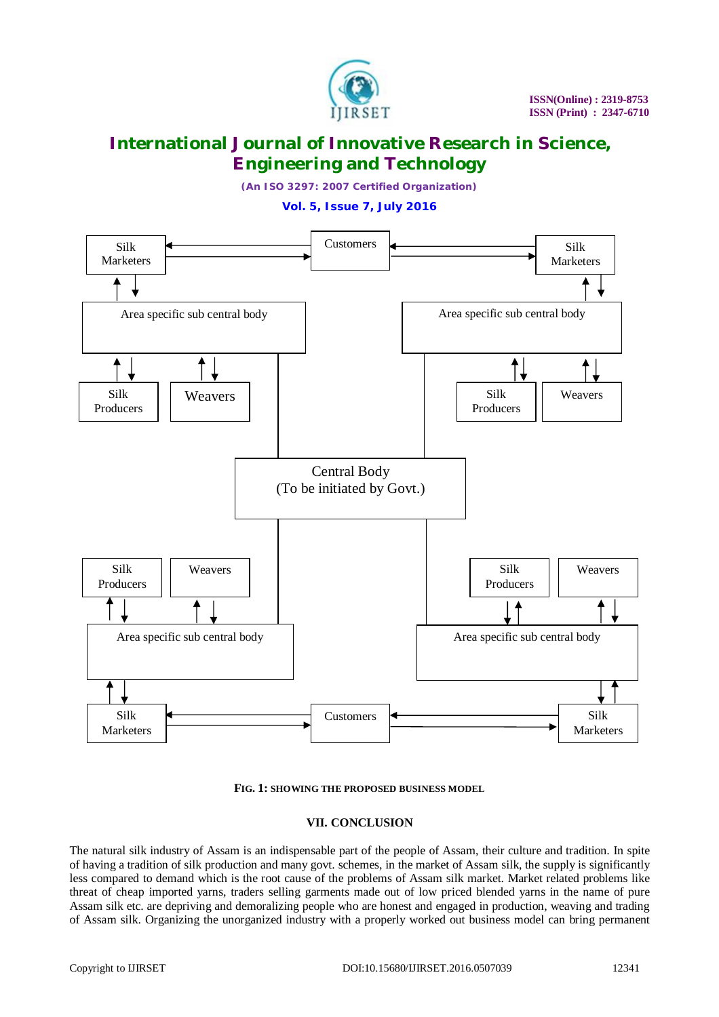

*(An ISO 3297: 2007 Certified Organization)*

**Vol. 5, Issue 7, July 2016**





#### **VII. CONCLUSION**

The natural silk industry of Assam is an indispensable part of the people of Assam, their culture and tradition. In spite of having a tradition of silk production and many govt. schemes, in the market of Assam silk, the supply is significantly less compared to demand which is the root cause of the problems of Assam silk market. Market related problems like threat of cheap imported yarns, traders selling garments made out of low priced blended yarns in the name of pure Assam silk etc. are depriving and demoralizing people who are honest and engaged in production, weaving and trading of Assam silk. Organizing the unorganized industry with a properly worked out business model can bring permanent